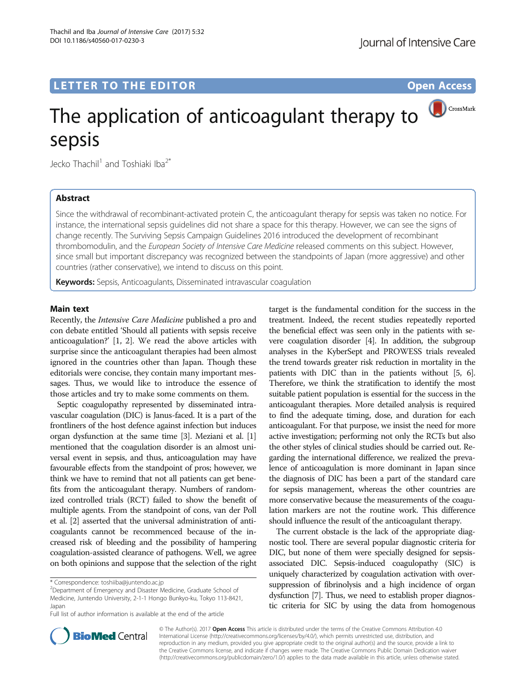# LETTER TO THE EDITOR **CONSIDERING A CONSIDERATION**

CrossMark

# The application of anticoagulant therapy to sepsis

Jecko Thachil<sup>1</sup> and Toshiaki Iba<sup>2\*</sup>

# Abstract

Since the withdrawal of recombinant-activated protein C, the anticoagulant therapy for sepsis was taken no notice. For instance, the international sepsis guidelines did not share a space for this therapy. However, we can see the signs of change recently. The Surviving Sepsis Campaign Guidelines 2016 introduced the development of recombinant thrombomodulin, and the European Society of Intensive Care Medicine released comments on this subject. However, since small but important discrepancy was recognized between the standpoints of Japan (more aggressive) and other countries (rather conservative), we intend to discuss on this point.

Keywords: Sepsis, Anticoagulants, Disseminated intravascular coagulation

## Main text

Recently, the Intensive Care Medicine published a pro and con debate entitled 'Should all patients with sepsis receive anticoagulation?' [[1, 2\]](#page-2-0). We read the above articles with surprise since the anticoagulant therapies had been almost ignored in the countries other than Japan. Though these editorials were concise, they contain many important messages. Thus, we would like to introduce the essence of those articles and try to make some comments on them.

Septic coagulopathy represented by disseminated intravascular coagulation (DIC) is Janus-faced. It is a part of the frontliners of the host defence against infection but induces organ dysfunction at the same time [[3](#page-2-0)]. Meziani et al. [[1](#page-2-0)] mentioned that the coagulation disorder is an almost universal event in sepsis, and thus, anticoagulation may have favourable effects from the standpoint of pros; however, we think we have to remind that not all patients can get benefits from the anticoagulant therapy. Numbers of randomized controlled trials (RCT) failed to show the benefit of multiple agents. From the standpoint of cons, van der Poll et al. [\[2\]](#page-2-0) asserted that the universal administration of anticoagulants cannot be recommenced because of the increased risk of bleeding and the possibility of hampering coagulation-assisted clearance of pathogens. Well, we agree on both opinions and suppose that the selection of the right

<sup>2</sup>Department of Emergency and Disaster Medicine, Graduate School of Medicine, Juntendo University, 2-1-1 Hongo Bunkyo-ku, Tokyo 113-8421, Japan

Full list of author information is available at the end of the article

target is the fundamental condition for the success in the treatment. Indeed, the recent studies repeatedly reported the beneficial effect was seen only in the patients with severe coagulation disorder [[4](#page-2-0)]. In addition, the subgroup analyses in the KyberSept and PROWESS trials revealed the trend towards greater risk reduction in mortality in the patients with DIC than in the patients without [\[5](#page-2-0), [6](#page-2-0)]. Therefore, we think the stratification to identify the most suitable patient population is essential for the success in the anticoagulant therapies. More detailed analysis is required to find the adequate timing, dose, and duration for each anticoagulant. For that purpose, we insist the need for more active investigation; performing not only the RCTs but also the other styles of clinical studies should be carried out. Regarding the international difference, we realized the prevalence of anticoagulation is more dominant in Japan since the diagnosis of DIC has been a part of the standard care for sepsis management, whereas the other countries are more conservative because the measurements of the coagulation markers are not the routine work. This difference should influence the result of the anticoagulant therapy.

The current obstacle is the lack of the appropriate diagnostic tool. There are several popular diagnostic criteria for DIC, but none of them were specially designed for sepsisassociated DIC. Sepsis-induced coagulopathy (SIC) is uniquely characterized by coagulation activation with oversuppression of fibrinolysis and a high incidence of organ dysfunction [\[7\]](#page-2-0). Thus, we need to establish proper diagnostic criteria for SIC by using the data from homogenous



© The Author(s). 2017 **Open Access** This article is distributed under the terms of the Creative Commons Attribution 4.0 International License [\(http://creativecommons.org/licenses/by/4.0/](http://creativecommons.org/licenses/by/4.0/)), which permits unrestricted use, distribution, and reproduction in any medium, provided you give appropriate credit to the original author(s) and the source, provide a link to the Creative Commons license, and indicate if changes were made. The Creative Commons Public Domain Dedication waiver [\(http://creativecommons.org/publicdomain/zero/1.0/](http://creativecommons.org/publicdomain/zero/1.0/)) applies to the data made available in this article, unless otherwise stated.

<sup>\*</sup> Correspondence: [toshiiba@juntendo.ac.jp](mailto:toshiiba@juntendo.ac.jp) <sup>2</sup>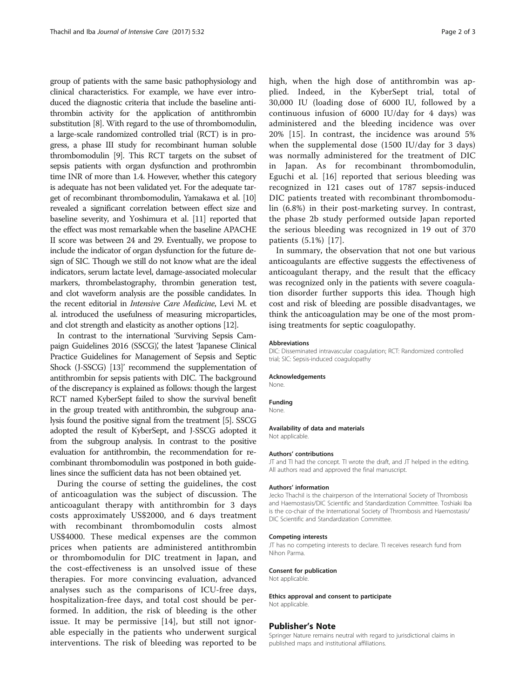group of patients with the same basic pathophysiology and clinical characteristics. For example, we have ever introduced the diagnostic criteria that include the baseline antithrombin activity for the application of antithrombin substitution [\[8\]](#page-2-0). With regard to the use of thrombomodulin, a large-scale randomized controlled trial (RCT) is in progress, a phase III study for recombinant human soluble thrombomodulin [\[9](#page-2-0)]. This RCT targets on the subset of sepsis patients with organ dysfunction and prothrombin time INR of more than 1.4. However, whether this category is adequate has not been validated yet. For the adequate target of recombinant thrombomodulin, Yamakawa et al. [\[10](#page-2-0)] revealed a significant correlation between effect size and baseline severity, and Yoshimura et al. [\[11](#page-2-0)] reported that the effect was most remarkable when the baseline APACHE II score was between 24 and 29. Eventually, we propose to include the indicator of organ dysfunction for the future design of SIC. Though we still do not know what are the ideal indicators, serum lactate level, damage-associated molecular markers, thrombelastography, thrombin generation test, and clot waveform analysis are the possible candidates. In the recent editorial in Intensive Care Medicine, Levi M. et al. introduced the usefulness of measuring microparticles, and clot strength and elasticity as another options [\[12](#page-2-0)].

In contrast to the international 'Surviving Sepsis Campaign Guidelines 2016 (SSCG), the latest 'Japanese Clinical Practice Guidelines for Management of Sepsis and Septic Shock (J-SSCG) [\[13\]](#page-2-0)' recommend the supplementation of antithrombin for sepsis patients with DIC. The background of the discrepancy is explained as follows: though the largest RCT named KyberSept failed to show the survival benefit in the group treated with antithrombin, the subgroup analysis found the positive signal from the treatment [[5](#page-2-0)]. SSCG adopted the result of KyberSept, and J-SSCG adopted it from the subgroup analysis. In contrast to the positive evaluation for antithrombin, the recommendation for recombinant thrombomodulin was postponed in both guidelines since the sufficient data has not been obtained yet.

During the course of setting the guidelines, the cost of anticoagulation was the subject of discussion. The anticoagulant therapy with antithrombin for 3 days costs approximately US\$2000, and 6 days treatment with recombinant thrombomodulin costs almost US\$4000. These medical expenses are the common prices when patients are administered antithrombin or thrombomodulin for DIC treatment in Japan, and the cost-effectiveness is an unsolved issue of these therapies. For more convincing evaluation, advanced analyses such as the comparisons of ICU-free days, hospitalization-free days, and total cost should be performed. In addition, the risk of bleeding is the other issue. It may be permissive [[14\]](#page-2-0), but still not ignorable especially in the patients who underwent surgical interventions. The risk of bleeding was reported to be high, when the high dose of antithrombin was applied. Indeed, in the KyberSept trial, total of 30,000 IU (loading dose of 6000 IU, followed by a continuous infusion of 6000 IU/day for 4 days) was administered and the bleeding incidence was over 20% [\[15](#page-2-0)]. In contrast, the incidence was around 5% when the supplemental dose (1500 IU/day for 3 days) was normally administered for the treatment of DIC in Japan. As for recombinant thrombomodulin, Eguchi et al. [[16](#page-2-0)] reported that serious bleeding was recognized in 121 cases out of 1787 sepsis-induced DIC patients treated with recombinant thrombomodulin (6.8%) in their post-marketing survey. In contrast, the phase 2b study performed outside Japan reported the serious bleeding was recognized in 19 out of 370 patients (5.1%) [\[17](#page-2-0)].

In summary, the observation that not one but various anticoagulants are effective suggests the effectiveness of anticoagulant therapy, and the result that the efficacy was recognized only in the patients with severe coagulation disorder further supports this idea. Though high cost and risk of bleeding are possible disadvantages, we think the anticoagulation may be one of the most promising treatments for septic coagulopathy.

#### Abbreviations

DIC: Disseminated intravascular coagulation; RCT: Randomized controlled trial; SIC: Sepsis-induced coagulopathy

#### Acknowledgements

None.

## Funding

None.

#### Availability of data and materials

Not applicable.

#### Authors' contributions

JT and TI had the concept. TI wrote the draft, and JT helped in the editing. All authors read and approved the final manuscript.

#### Authors' information

Jecko Thachil is the chairperson of the International Society of Thrombosis and Haemostasis/DIC Scientific and Standardization Committee. Toshiaki Iba is the co-chair of the International Society of Thrombosis and Haemostasis/ DIC Scientific and Standardization Committee.

#### Competing interests

JT has no competing interests to declare. TI receives research fund from Nihon Parma.

#### Consent for publication

Not applicable.

Ethics approval and consent to participate Not applicable

#### Publisher's Note

Springer Nature remains neutral with regard to jurisdictional claims in published maps and institutional affiliations.